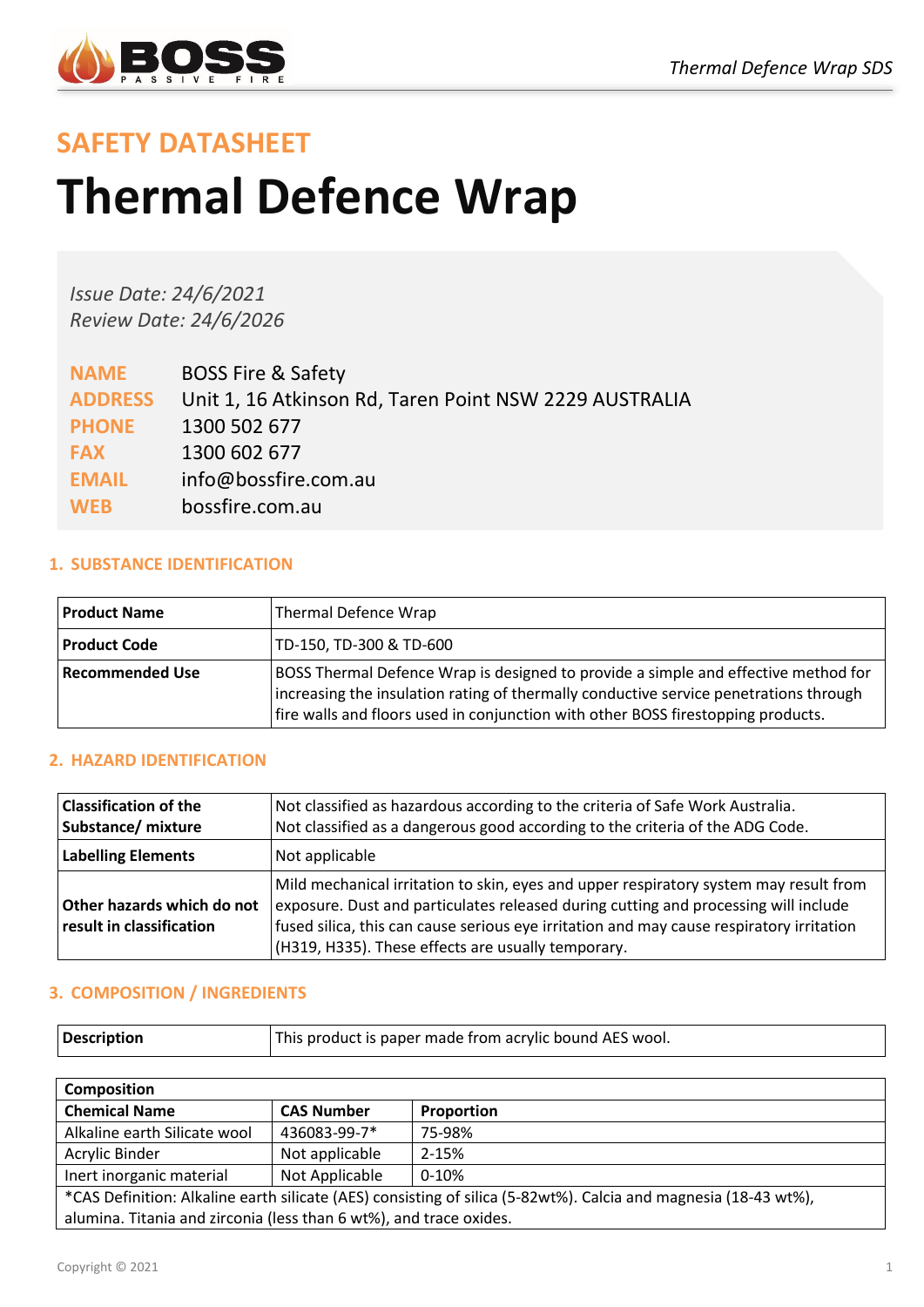

# **SAFETY DATASHEET Thermal Defence Wrap**

*Issue Date: 24/6/2021 Review Date: 24/6/2026*

| <b>NAME</b>    | <b>BOSS Fire &amp; Safety</b>                          |
|----------------|--------------------------------------------------------|
| <b>ADDRESS</b> | Unit 1, 16 Atkinson Rd, Taren Point NSW 2229 AUSTRALIA |
| <b>PHONE</b>   | 1300 502 677                                           |
| <b>FAX</b>     | 1300 602 677                                           |
| <b>EMAIL</b>   | info@bossfire.com.au                                   |
| <b>WEB</b>     | bossfire.com.au                                        |

# **1. SUBSTANCE IDENTIFICATION**

| <b>Product Name</b>    | Thermal Defence Wrap                                                                                                                                                                                                                                            |
|------------------------|-----------------------------------------------------------------------------------------------------------------------------------------------------------------------------------------------------------------------------------------------------------------|
| <b>Product Code</b>    | TD-150, TD-300 & TD-600                                                                                                                                                                                                                                         |
| <b>Recommended Use</b> | BOSS Thermal Defence Wrap is designed to provide a simple and effective method for<br>increasing the insulation rating of thermally conductive service penetrations through<br>fire walls and floors used in conjunction with other BOSS firestopping products. |

# **2. HAZARD IDENTIFICATION**

| <b>Classification of the</b><br>Substance/ mixture     | Not classified as hazardous according to the criteria of Safe Work Australia.<br>Not classified as a dangerous good according to the criteria of the ADG Code.                                                                                                                                                                 |
|--------------------------------------------------------|--------------------------------------------------------------------------------------------------------------------------------------------------------------------------------------------------------------------------------------------------------------------------------------------------------------------------------|
| <b>Labelling Elements</b>                              | Not applicable                                                                                                                                                                                                                                                                                                                 |
| Other hazards which do not<br>result in classification | Mild mechanical irritation to skin, eyes and upper respiratory system may result from<br>exposure. Dust and particulates released during cutting and processing will include<br>fused silica, this can cause serious eye irritation and may cause respiratory irritation<br>(H319, H335). These effects are usually temporary. |

# **3. COMPOSITION / INGREDIENTS**

| This product is paper made from acrylic bound AES wool.<br>Description |
|------------------------------------------------------------------------|
|------------------------------------------------------------------------|

| <b>Composition</b>                                                                                              |                   |            |  |
|-----------------------------------------------------------------------------------------------------------------|-------------------|------------|--|
| <b>Chemical Name</b>                                                                                            | <b>CAS Number</b> | Proportion |  |
| Alkaline earth Silicate wool                                                                                    | 436083-99-7*      | 75-98%     |  |
| Acrylic Binder                                                                                                  | Not applicable    | $2 - 15%$  |  |
| Inert inorganic material                                                                                        | Not Applicable    | $0 - 10%$  |  |
| *CAS Definition: Alkaline earth silicate (AES) consisting of silica (5-82wt%). Calcia and magnesia (18-43 wt%), |                   |            |  |
| alumina. Titania and zirconia (less than 6 wt%), and trace oxides.                                              |                   |            |  |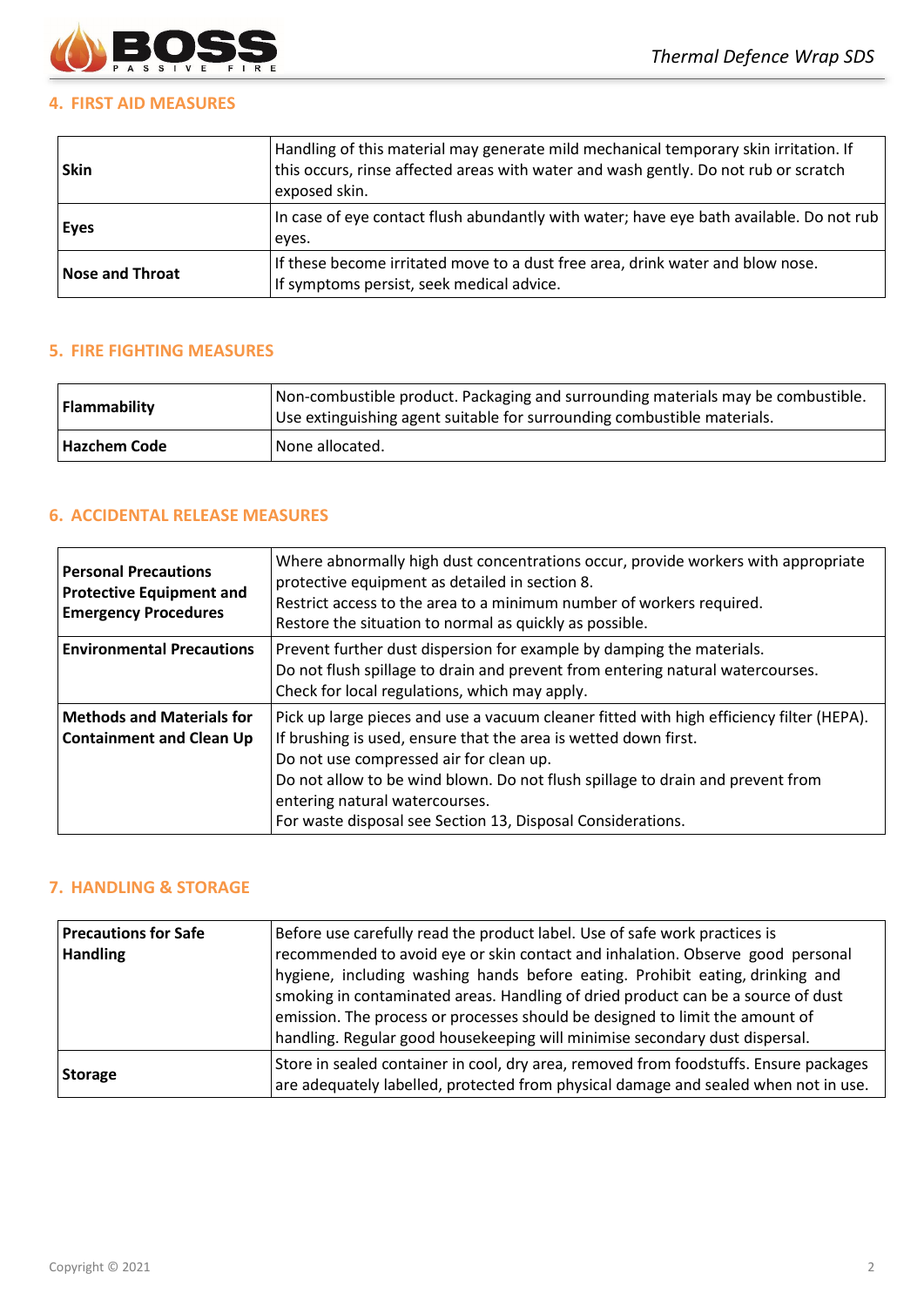

# **4. FIRST AID MEASURES**

| <b>Skin</b>            | Handling of this material may generate mild mechanical temporary skin irritation. If<br>this occurs, rinse affected areas with water and wash gently. Do not rub or scratch<br>exposed skin. |
|------------------------|----------------------------------------------------------------------------------------------------------------------------------------------------------------------------------------------|
| <b>Eves</b>            | In case of eye contact flush abundantly with water; have eye bath available. Do not rub<br>eves.                                                                                             |
| <b>Nose and Throat</b> | If these become irritated move to a dust free area, drink water and blow nose.<br>If symptoms persist, seek medical advice.                                                                  |

# **5. FIRE FIGHTING MEASURES**

| Flammability        | Non-combustible product. Packaging and surrounding materials may be combustible.<br>Use extinguishing agent suitable for surrounding combustible materials. |  |
|---------------------|-------------------------------------------------------------------------------------------------------------------------------------------------------------|--|
| <b>Hazchem Code</b> | None allocated.                                                                                                                                             |  |

# **6. ACCIDENTAL RELEASE MEASURES**

| <b>Personal Precautions</b><br><b>Protective Equipment and</b><br><b>Emergency Procedures</b> | Where abnormally high dust concentrations occur, provide workers with appropriate<br>protective equipment as detailed in section 8.<br>Restrict access to the area to a minimum number of workers required.<br>Restore the situation to normal as quickly as possible.                                                                                                                    |
|-----------------------------------------------------------------------------------------------|-------------------------------------------------------------------------------------------------------------------------------------------------------------------------------------------------------------------------------------------------------------------------------------------------------------------------------------------------------------------------------------------|
| <b>Environmental Precautions</b>                                                              | Prevent further dust dispersion for example by damping the materials.<br>Do not flush spillage to drain and prevent from entering natural watercourses.<br>Check for local regulations, which may apply.                                                                                                                                                                                  |
| <b>Methods and Materials for</b><br><b>Containment and Clean Up</b>                           | Pick up large pieces and use a vacuum cleaner fitted with high efficiency filter (HEPA).<br>If brushing is used, ensure that the area is wetted down first.<br>Do not use compressed air for clean up.<br>Do not allow to be wind blown. Do not flush spillage to drain and prevent from<br>entering natural watercourses.<br>For waste disposal see Section 13, Disposal Considerations. |

## **7. HANDLING & STORAGE**

| <b>Precautions for Safe</b><br><b>Handling</b> | Before use carefully read the product label. Use of safe work practices is<br>recommended to avoid eye or skin contact and inhalation. Observe good personal<br>hygiene, including washing hands before eating. Prohibit eating, drinking and<br>smoking in contaminated areas. Handling of dried product can be a source of dust<br>emission. The process or processes should be designed to limit the amount of<br>handling. Regular good housekeeping will minimise secondary dust dispersal. |
|------------------------------------------------|--------------------------------------------------------------------------------------------------------------------------------------------------------------------------------------------------------------------------------------------------------------------------------------------------------------------------------------------------------------------------------------------------------------------------------------------------------------------------------------------------|
| Storage                                        | Store in sealed container in cool, dry area, removed from foodstuffs. Ensure packages<br>are adequately labelled, protected from physical damage and sealed when not in use.                                                                                                                                                                                                                                                                                                                     |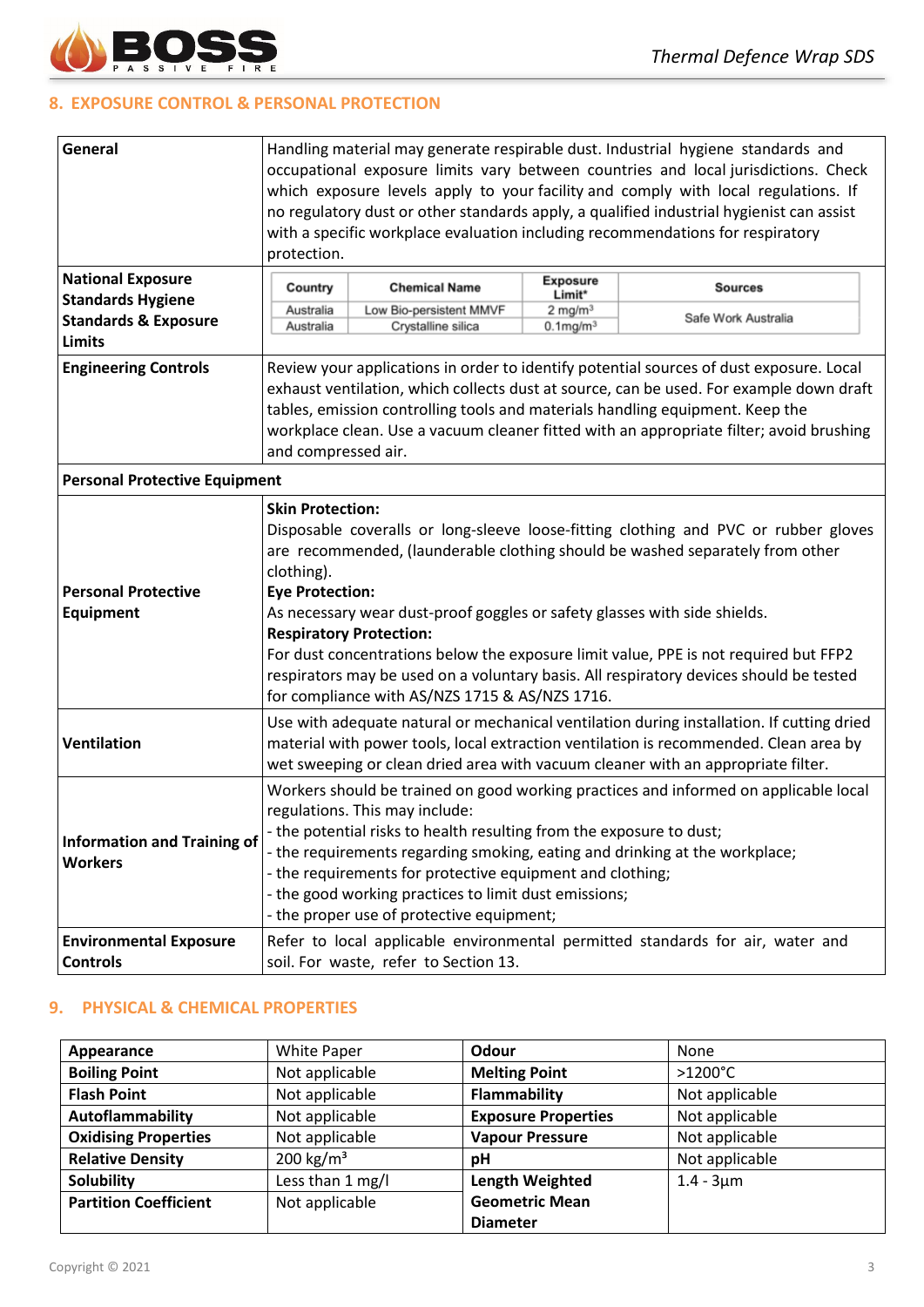

# **8. EXPOSURE CONTROL & PERSONAL PROTECTION**

| General                              | Handling material may generate respirable dust. Industrial hygiene standards and<br>occupational exposure limits vary between countries and local jurisdictions. Check<br>which exposure levels apply to your facility and comply with local regulations. If<br>no regulatory dust or other standards apply, a qualified industrial hygienist can assist<br>with a specific workplace evaluation including recommendations for respiratory<br>protection. |                                               |                                |                                                                                           |  |
|--------------------------------------|-----------------------------------------------------------------------------------------------------------------------------------------------------------------------------------------------------------------------------------------------------------------------------------------------------------------------------------------------------------------------------------------------------------------------------------------------------------|-----------------------------------------------|--------------------------------|-------------------------------------------------------------------------------------------|--|
| <b>National Exposure</b>             | <b>Exposure</b>                                                                                                                                                                                                                                                                                                                                                                                                                                           |                                               |                                |                                                                                           |  |
| <b>Standards Hygiene</b>             | Country                                                                                                                                                                                                                                                                                                                                                                                                                                                   | <b>Chemical Name</b>                          | Limit*                         | <b>Sources</b>                                                                            |  |
| <b>Standards &amp; Exposure</b>      | Australia<br>Australia                                                                                                                                                                                                                                                                                                                                                                                                                                    | Low Bio-persistent MMVF<br>Crystalline silica | $2$ mg/m $3$<br>$0.1$ mg/m $3$ | Safe Work Australia                                                                       |  |
| <b>Limits</b>                        |                                                                                                                                                                                                                                                                                                                                                                                                                                                           |                                               |                                |                                                                                           |  |
| <b>Engineering Controls</b>          | Review your applications in order to identify potential sources of dust exposure. Local                                                                                                                                                                                                                                                                                                                                                                   |                                               |                                |                                                                                           |  |
|                                      |                                                                                                                                                                                                                                                                                                                                                                                                                                                           |                                               |                                | exhaust ventilation, which collects dust at source, can be used. For example down draft   |  |
|                                      |                                                                                                                                                                                                                                                                                                                                                                                                                                                           |                                               |                                | tables, emission controlling tools and materials handling equipment. Keep the             |  |
|                                      |                                                                                                                                                                                                                                                                                                                                                                                                                                                           |                                               |                                | workplace clean. Use a vacuum cleaner fitted with an appropriate filter; avoid brushing   |  |
|                                      | and compressed air.                                                                                                                                                                                                                                                                                                                                                                                                                                       |                                               |                                |                                                                                           |  |
| <b>Personal Protective Equipment</b> |                                                                                                                                                                                                                                                                                                                                                                                                                                                           |                                               |                                |                                                                                           |  |
|                                      | <b>Skin Protection:</b>                                                                                                                                                                                                                                                                                                                                                                                                                                   |                                               |                                |                                                                                           |  |
|                                      |                                                                                                                                                                                                                                                                                                                                                                                                                                                           |                                               |                                | Disposable coveralls or long-sleeve loose-fitting clothing and PVC or rubber gloves       |  |
|                                      |                                                                                                                                                                                                                                                                                                                                                                                                                                                           |                                               |                                | are recommended, (launderable clothing should be washed separately from other             |  |
|                                      | clothing).                                                                                                                                                                                                                                                                                                                                                                                                                                                |                                               |                                |                                                                                           |  |
| <b>Personal Protective</b>           | <b>Eye Protection:</b>                                                                                                                                                                                                                                                                                                                                                                                                                                    |                                               |                                |                                                                                           |  |
| Equipment                            | As necessary wear dust-proof goggles or safety glasses with side shields.                                                                                                                                                                                                                                                                                                                                                                                 |                                               |                                |                                                                                           |  |
|                                      | <b>Respiratory Protection:</b>                                                                                                                                                                                                                                                                                                                                                                                                                            |                                               |                                |                                                                                           |  |
|                                      | For dust concentrations below the exposure limit value, PPE is not required but FFP2<br>respirators may be used on a voluntary basis. All respiratory devices should be tested                                                                                                                                                                                                                                                                            |                                               |                                |                                                                                           |  |
|                                      | for compliance with AS/NZS 1715 & AS/NZS 1716.                                                                                                                                                                                                                                                                                                                                                                                                            |                                               |                                |                                                                                           |  |
|                                      |                                                                                                                                                                                                                                                                                                                                                                                                                                                           |                                               |                                | Use with adequate natural or mechanical ventilation during installation. If cutting dried |  |
| <b>Ventilation</b>                   |                                                                                                                                                                                                                                                                                                                                                                                                                                                           |                                               |                                | material with power tools, local extraction ventilation is recommended. Clean area by     |  |
|                                      |                                                                                                                                                                                                                                                                                                                                                                                                                                                           |                                               |                                | wet sweeping or clean dried area with vacuum cleaner with an appropriate filter.          |  |
|                                      |                                                                                                                                                                                                                                                                                                                                                                                                                                                           |                                               |                                | Workers should be trained on good working practices and informed on applicable local      |  |
|                                      | regulations. This may include:                                                                                                                                                                                                                                                                                                                                                                                                                            |                                               |                                |                                                                                           |  |
| <b>Information and Training of</b>   | - the potential risks to health resulting from the exposure to dust;                                                                                                                                                                                                                                                                                                                                                                                      |                                               |                                |                                                                                           |  |
| <b>Workers</b>                       | - the requirements regarding smoking, eating and drinking at the workplace;                                                                                                                                                                                                                                                                                                                                                                               |                                               |                                |                                                                                           |  |
|                                      | - the requirements for protective equipment and clothing;                                                                                                                                                                                                                                                                                                                                                                                                 |                                               |                                |                                                                                           |  |
|                                      | - the good working practices to limit dust emissions;                                                                                                                                                                                                                                                                                                                                                                                                     |                                               |                                |                                                                                           |  |
|                                      | - the proper use of protective equipment;                                                                                                                                                                                                                                                                                                                                                                                                                 |                                               |                                |                                                                                           |  |
| <b>Environmental Exposure</b>        | Refer to local applicable environmental permitted standards for air, water and                                                                                                                                                                                                                                                                                                                                                                            |                                               |                                |                                                                                           |  |
| <b>Controls</b>                      | soil. For waste, refer to Section 13.                                                                                                                                                                                                                                                                                                                                                                                                                     |                                               |                                |                                                                                           |  |

# **9. PHYSICAL & CHEMICAL PROPERTIES**

| Appearance                   | White Paper      | Odour                      | None              |
|------------------------------|------------------|----------------------------|-------------------|
| <b>Boiling Point</b>         | Not applicable   | <b>Melting Point</b>       | $>1200^{\circ}$ C |
| <b>Flash Point</b>           | Not applicable   | Flammability               | Not applicable    |
| Autoflammability             | Not applicable   | <b>Exposure Properties</b> | Not applicable    |
| <b>Oxidising Properties</b>  | Not applicable   | <b>Vapour Pressure</b>     | Not applicable    |
| <b>Relative Density</b>      | 200 kg/ $m3$     | pH                         | Not applicable    |
| <b>Solubility</b>            | Less than 1 mg/l | <b>Length Weighted</b>     | $1.4 - 3 \mu m$   |
| <b>Partition Coefficient</b> | Not applicable   | <b>Geometric Mean</b>      |                   |
|                              |                  | <b>Diameter</b>            |                   |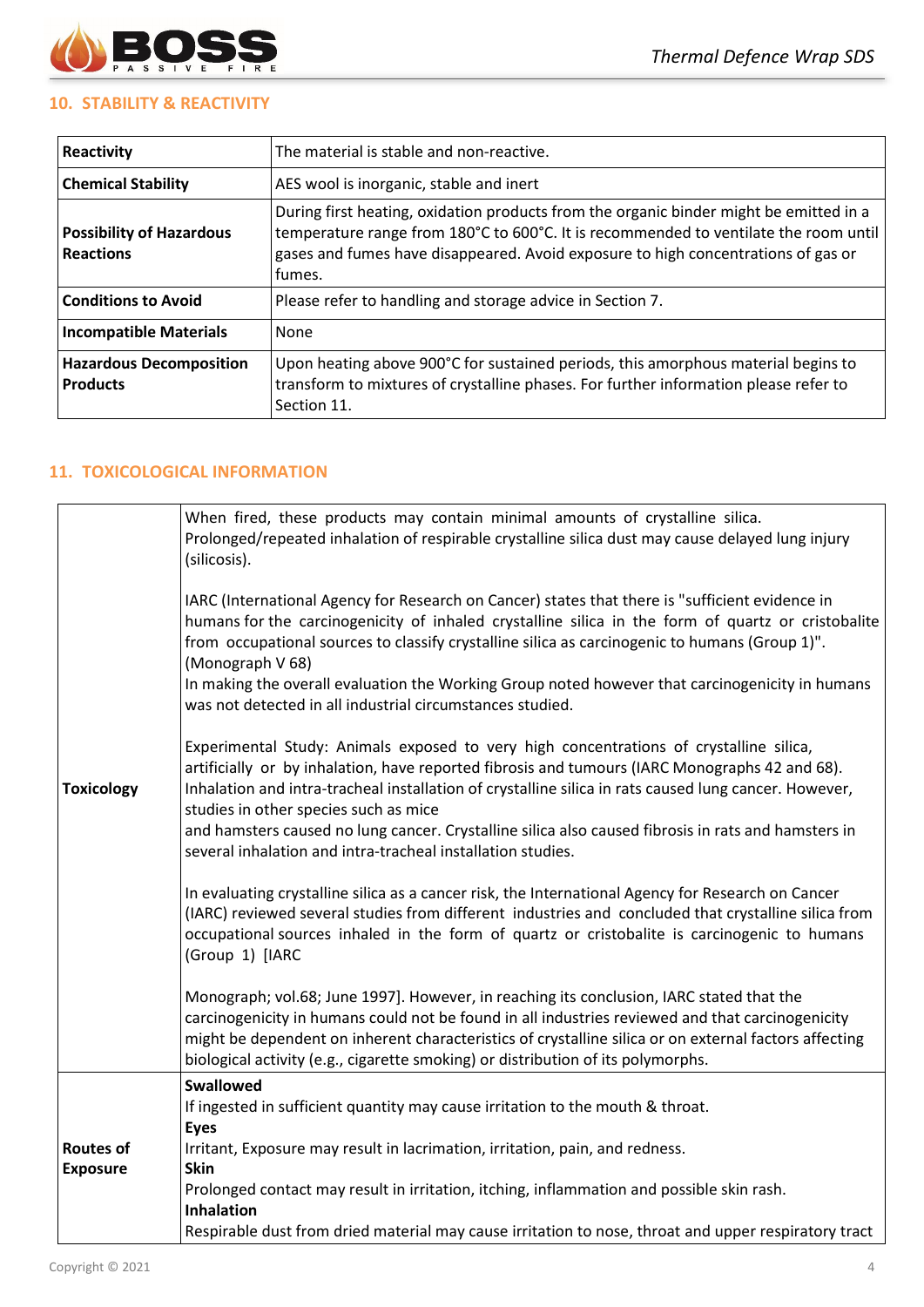

# **10. STABILITY & REACTIVITY**

| Reactivity                                          | The material is stable and non-reactive.                                                                                                                                                                                                                                      |  |  |
|-----------------------------------------------------|-------------------------------------------------------------------------------------------------------------------------------------------------------------------------------------------------------------------------------------------------------------------------------|--|--|
| <b>Chemical Stability</b>                           | AES wool is inorganic, stable and inert                                                                                                                                                                                                                                       |  |  |
| <b>Possibility of Hazardous</b><br><b>Reactions</b> | During first heating, oxidation products from the organic binder might be emitted in a<br>temperature range from 180°C to 600°C. It is recommended to ventilate the room until<br>gases and fumes have disappeared. Avoid exposure to high concentrations of gas or<br>fumes. |  |  |
| <b>Conditions to Avoid</b>                          | Please refer to handling and storage advice in Section 7.                                                                                                                                                                                                                     |  |  |
| <b>Incompatible Materials</b>                       | None                                                                                                                                                                                                                                                                          |  |  |
| <b>Hazardous Decomposition</b><br><b>Products</b>   | Upon heating above 900°C for sustained periods, this amorphous material begins to<br>transform to mixtures of crystalline phases. For further information please refer to<br>Section 11.                                                                                      |  |  |

# **11. TOXICOLOGICAL INFORMATION**

|                   | When fired, these products may contain minimal amounts of crystalline silica.<br>Prolonged/repeated inhalation of respirable crystalline silica dust may cause delayed lung injury<br>(silicosis).                                                                                                                                                                                                                                                                                                               |
|-------------------|------------------------------------------------------------------------------------------------------------------------------------------------------------------------------------------------------------------------------------------------------------------------------------------------------------------------------------------------------------------------------------------------------------------------------------------------------------------------------------------------------------------|
|                   | IARC (International Agency for Research on Cancer) states that there is "sufficient evidence in<br>humans for the carcinogenicity of inhaled crystalline silica in the form of quartz or cristobalite<br>from occupational sources to classify crystalline silica as carcinogenic to humans (Group 1)".<br>(Monograph V 68)                                                                                                                                                                                      |
|                   | In making the overall evaluation the Working Group noted however that carcinogenicity in humans<br>was not detected in all industrial circumstances studied.                                                                                                                                                                                                                                                                                                                                                     |
| <b>Toxicology</b> | Experimental Study: Animals exposed to very high concentrations of crystalline silica,<br>artificially or by inhalation, have reported fibrosis and tumours (IARC Monographs 42 and 68).<br>Inhalation and intra-tracheal installation of crystalline silica in rats caused lung cancer. However,<br>studies in other species such as mice<br>and hamsters caused no lung cancer. Crystalline silica also caused fibrosis in rats and hamsters in<br>several inhalation and intra-tracheal installation studies. |
|                   | In evaluating crystalline silica as a cancer risk, the International Agency for Research on Cancer<br>(IARC) reviewed several studies from different industries and concluded that crystalline silica from<br>occupational sources inhaled in the form of quartz or cristobalite is carcinogenic to humans<br>(Group 1) [IARC                                                                                                                                                                                    |
|                   | Monograph; vol.68; June 1997]. However, in reaching its conclusion, IARC stated that the<br>carcinogenicity in humans could not be found in all industries reviewed and that carcinogenicity<br>might be dependent on inherent characteristics of crystalline silica or on external factors affecting<br>biological activity (e.g., cigarette smoking) or distribution of its polymorphs.                                                                                                                        |
|                   | Swallowed                                                                                                                                                                                                                                                                                                                                                                                                                                                                                                        |
|                   | If ingested in sufficient quantity may cause irritation to the mouth & throat.<br><b>Eyes</b>                                                                                                                                                                                                                                                                                                                                                                                                                    |
| <b>Routes of</b>  | Irritant, Exposure may result in lacrimation, irritation, pain, and redness.                                                                                                                                                                                                                                                                                                                                                                                                                                     |
| <b>Exposure</b>   | <b>Skin</b>                                                                                                                                                                                                                                                                                                                                                                                                                                                                                                      |
|                   | Prolonged contact may result in irritation, itching, inflammation and possible skin rash.                                                                                                                                                                                                                                                                                                                                                                                                                        |
|                   | <b>Inhalation</b><br>Respirable dust from dried material may cause irritation to nose, throat and upper respiratory tract                                                                                                                                                                                                                                                                                                                                                                                        |
|                   |                                                                                                                                                                                                                                                                                                                                                                                                                                                                                                                  |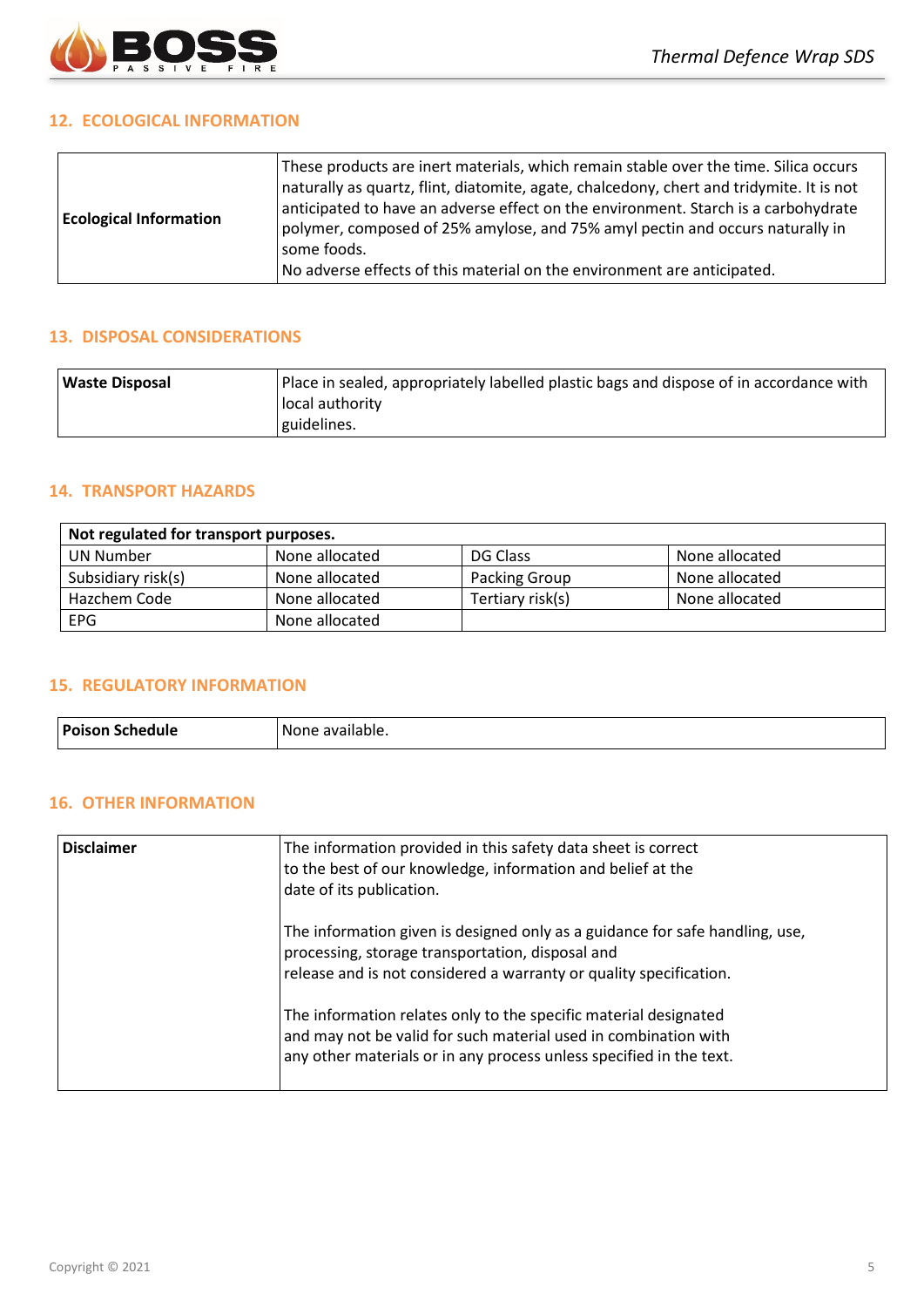

## **12. ECOLOGICAL INFORMATION**

## **13. DISPOSAL CONSIDERATIONS**

| Waste Disposal | Place in sealed, appropriately labelled plastic bags and dispose of in accordance with |
|----------------|----------------------------------------------------------------------------------------|
|                | Hocal authority                                                                        |
|                | guidelines.                                                                            |

## **14. TRANSPORT HAZARDS**

| Not regulated for transport purposes. |                |                  |                |  |
|---------------------------------------|----------------|------------------|----------------|--|
| UN Number                             | None allocated | DG Class         | None allocated |  |
| Subsidiary risk(s)                    | None allocated | Packing Group    | None allocated |  |
| Hazchem Code                          | None allocated | Tertiary risk(s) | None allocated |  |
| <b>EPG</b>                            | None allocated |                  |                |  |

## **15. REGULATORY INFORMATION**

| <b>Poison Schedule</b> | `available.<br>None. |
|------------------------|----------------------|
|------------------------|----------------------|

# **16. OTHER INFORMATION**

| <b>Disclaimer</b> | The information provided in this safety data sheet is correct<br>to the best of our knowledge, information and belief at the<br>date of its publication.                                                   |
|-------------------|------------------------------------------------------------------------------------------------------------------------------------------------------------------------------------------------------------|
|                   | The information given is designed only as a guidance for safe handling, use,<br>processing, storage transportation, disposal and<br>release and is not considered a warranty or quality specification.     |
|                   | The information relates only to the specific material designated<br>and may not be valid for such material used in combination with<br>any other materials or in any process unless specified in the text. |